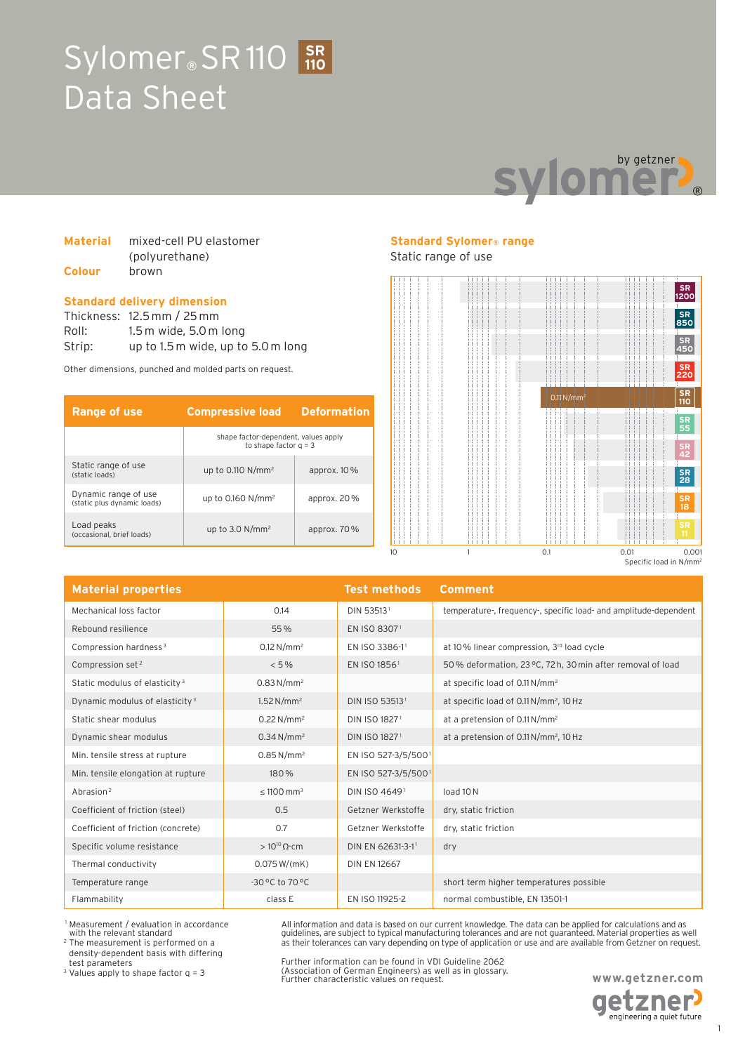# Sylomer<sup>®</sup> SR110 3R Data Sheet **110**



| <b>Material</b> | mixed-cell PU elastomer |  |  |
|-----------------|-------------------------|--|--|
|                 | (polyurethane)          |  |  |
| Colour          | brown                   |  |  |

#### **Standard delivery dimension**

Thickness: 12.5 mm / 25 mm Roll: 1.5 m wide, 5.0 m long Strip: up to 1.5 m wide, up to 5.0 m long

Other dimensions, punched and molded parts on request.

| <b>Range of use</b>                                 | <b>Compressive load</b>                                         | <b>Deformation</b> |
|-----------------------------------------------------|-----------------------------------------------------------------|--------------------|
|                                                     | shape factor-dependent, values apply<br>to shape factor $a = 3$ |                    |
| Static range of use<br>(static loads)               | up to 0.110 $N/mm^2$                                            | approx. $10\%$     |
| Dynamic range of use<br>(static plus dynamic loads) | up to $0.160$ N/mm <sup>2</sup>                                 | approx. $20\%$     |
| Load peaks<br>(occasional, brief loads)             | up to $3.0 N/mm^2$                                              | approx. $70\%$     |

## **Standard Sylomer® range**

Static range of use



| <b>Material properties</b>                 |                          | <b>Test methods</b>       | Comment                                                          |
|--------------------------------------------|--------------------------|---------------------------|------------------------------------------------------------------|
| Mechanical loss factor                     | 0.14                     | DIN 53513 <sup>1</sup>    | temperature-, frequency-, specific load- and amplitude-dependent |
| Rebound resilience                         | 55%                      | EN ISO 83071              |                                                                  |
| Compression hardness <sup>3</sup>          | $0.12 N/mm^2$            | EN ISO 3386-11            | at 10% linear compression, 3rd load cycle                        |
| Compression set <sup>2</sup>               | < 5%                     | EN ISO 1856 <sup>1</sup>  | 50% deformation, 23 °C, 72 h, 30 min after removal of load       |
| Static modulus of elasticity <sup>3</sup>  | 0.83 N/mm <sup>2</sup>   |                           | at specific load of 0.11 N/mm <sup>2</sup>                       |
| Dynamic modulus of elasticity <sup>3</sup> | 1.52 N/mm <sup>2</sup>   | DIN ISO 535131            | at specific load of 0.11 N/mm <sup>2</sup> , 10 Hz               |
| Static shear modulus                       | $0.22 N/mm^2$            | DIN ISO 18271             | at a pretension of 0.11 N/mm <sup>2</sup>                        |
| Dynamic shear modulus                      | $0.34 N/mm^2$            | DIN ISO 1827 <sup>1</sup> | at a pretension of 0.11 N/mm <sup>2</sup> , 10 Hz                |
| Min. tensile stress at rupture             | $0.85 N/mm^2$            | EN ISO 527-3/5/5001       |                                                                  |
| Min. tensile elongation at rupture         | 180%                     | EN ISO 527-3/5/5001       |                                                                  |
| Abrasion <sup>2</sup>                      | $< 1100$ mm <sup>3</sup> | DIN ISO 46491             | load 10N                                                         |
| Coefficient of friction (steel)            | 0.5                      | Getzner Werkstoffe        | dry, static friction                                             |
| Coefficient of friction (concrete)         | 0.7                      | Getzner Werkstoffe        | dry, static friction                                             |
| Specific volume resistance                 | $>10^{10} \Omega$ cm     | DIN EN 62631-3-11         | dry                                                              |
| Thermal conductivity                       | 0.075 W/(mK)             | <b>DIN EN 12667</b>       |                                                                  |
| Temperature range                          | -30 °C to 70 °C          |                           | short term higher temperatures possible                          |
| Flammability                               | class E                  | EN ISO 11925-2            | normal combustible, EN 13501-1                                   |

 1 Measurement / evaluation in accordance with the relevant standard

2 The measurement is performed on a density-dependent basis with differing test parameters

3 Values apply to shape factor q = 3

Further information can be found in VDI Guideline 2062 (Association of German Engineers) as well as in glossary. Further characteristic values on request.

All information and data is based on our current knowledge. The data can be applied for calculations and as guidelines, are subject to typical manufacturing tolerances and are not guaranteed. Material properties as well as their tolerances can vary depending on type of application or use and are available from Getzner on request.

> **www.getzner.com etzner**

engineering a quiet future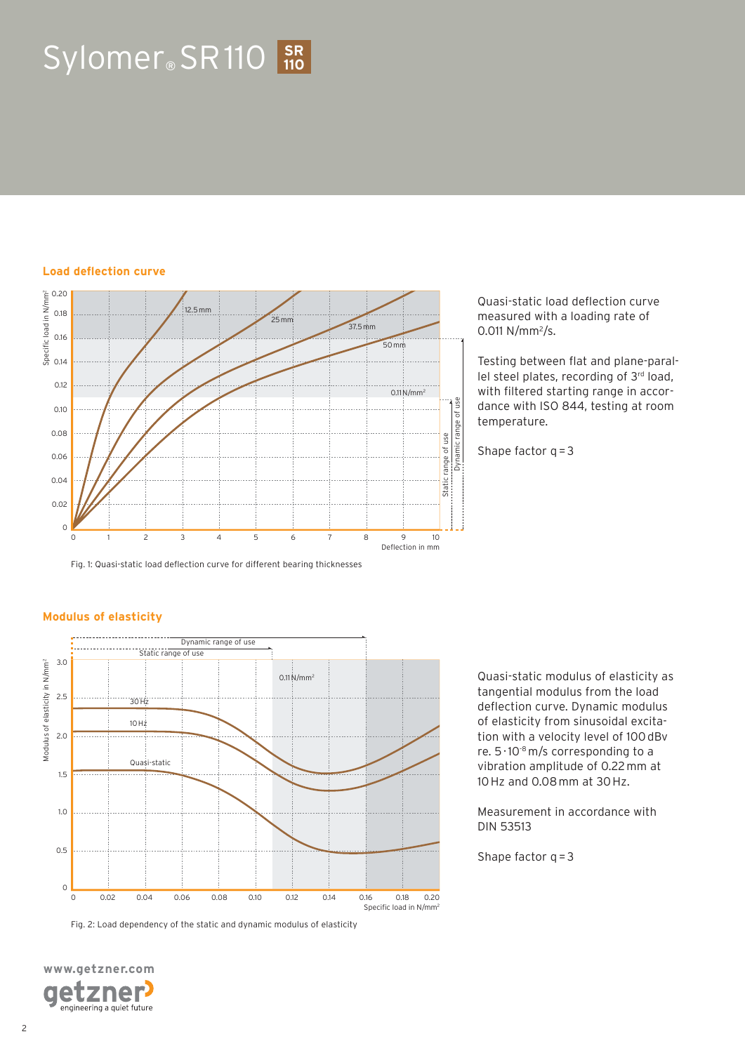# $Sylomer_{\circ}$  SR 110  $\frac{SR}{110}$

#### **Load deflection curve**



Fig. 1: Quasi-static load deflection curve for different bearing thicknesses

Quasi-static load deflection curve measured with a loading rate of  $0.011$  N/mm<sup>2</sup>/s.

Testing between flat and plane-parallel steel plates, recording of 3rd load, with filtered starting range in accordance with ISO 844, testing at room temperature.

Shape factor  $q = 3$ 

#### **Modulus of elasticity**



Fig. 2: Load dependency of the static and dynamic modulus of elasticity

**www.getzner.com**  zner e engineering a quiet future Quasi-static modulus of elasticity as tangential modulus from the load deflection curve. Dynamic modulus of elasticity from sinusoidal excitation with a velocity level of 100 dBv re.  $5 \cdot 10^{-8}$  m/s corresponding to a vibration amplitude of 0.22 mm at 10 Hz and 0.08 mm at 30 Hz.

Measurement in accordance with DIN 53513

Shape factor  $q = 3$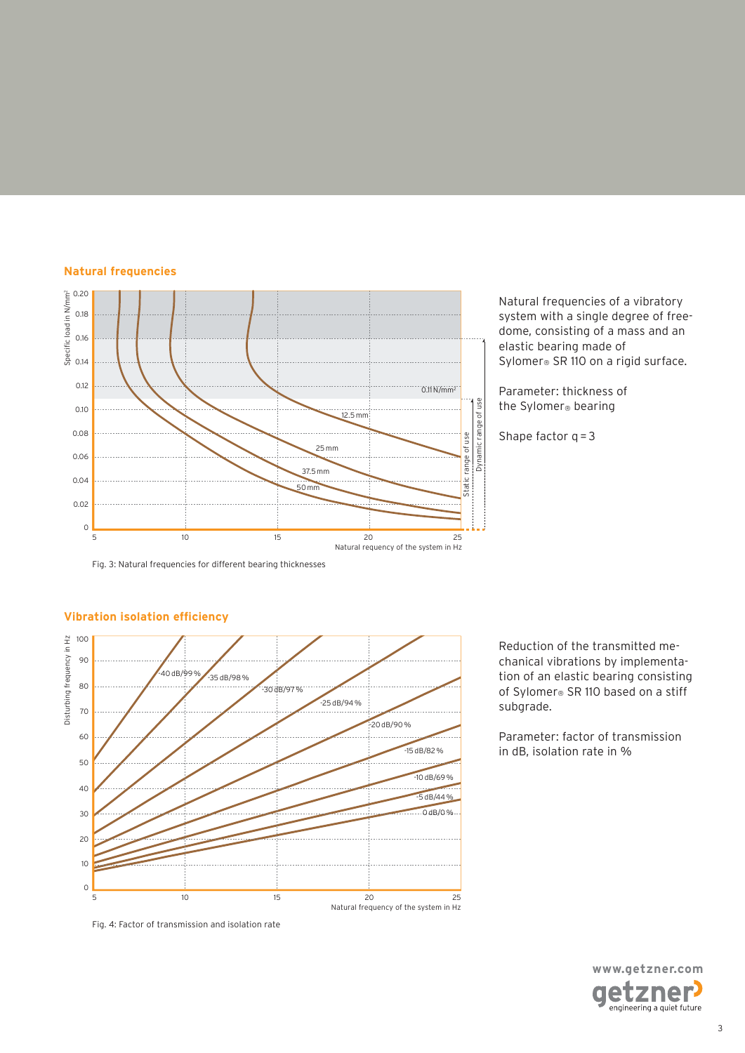#### **Natural frequencies**



Natural frequencies of a vibratory system with a single degree of freedome, consisting of a mass and an elastic bearing made of Sylomer<sup>®</sup> SR 110 on a rigid surface.

Parameter: thickness of the Sylomer® bearing

Shape factor  $q = 3$ 

Fig. 3: Natural frequencies for different bearing thicknesses



#### **Vibration isolation efficiency**

Reduction of the transmitted mechanical vibrations by implementation of an elastic bearing consisting of Sylomer® SR 110 based on a stiff subgrade.

Parameter: factor of transmission in dB, isolation rate in %